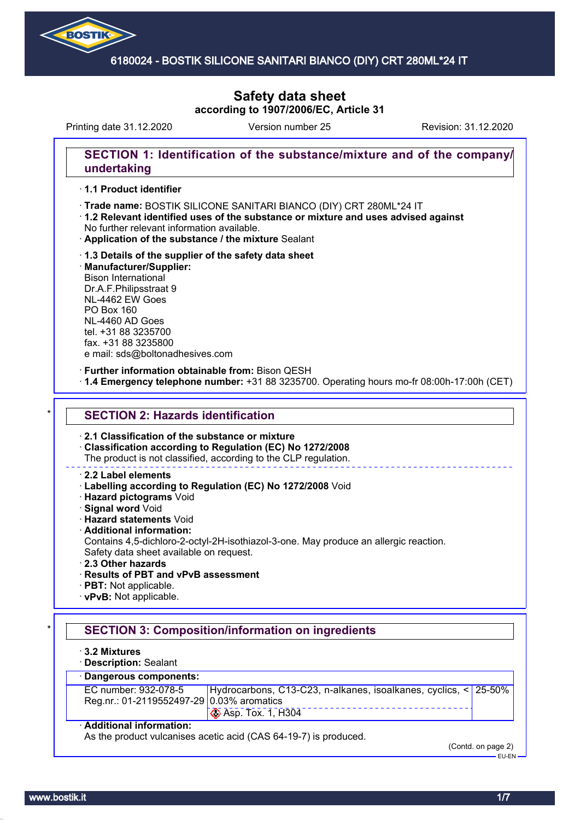

# **Safety data sheet according to 1907/2006/EC, Article 31**

Printing date 31.12.2020 Version number 25 Revision: 31.12.2020

### **SECTION 1: Identification of the substance/mixture and of the company/ undertaking**

#### · **1.1 Product identifier**

- · Trade name: BOSTIK SILICONE SANITARI BIANCO (DIY) CRT 280ML\*24 IT
- · **1.2 Relevant identified uses of the substance or mixture and uses advised against** No further relevant information available.
- · **Application of the substance / the mixture** Sealant
- · **1.3 Details of the supplier of the safety data sheet** · **Manufacturer/Supplier:** Bison International Dr.A.F.Philipsstraat 9 NL-4462 EW Goes PO Box 160 NL-4460 AD Goes tel. +31 88 3235700 fax. +31 88 3235800

e mail: sds@boltonadhesives.com

#### · **Further information obtainable from:** Bison QESH

· **1.4 Emergency telephone number:** +31 88 3235700. Operating hours mo-fr 08:00h-17:00h (CET)

#### **SECTION 2: Hazards identification**

#### · **2.1 Classification of the substance or mixture**

· **Classification according to Regulation (EC) No 1272/2008**

The product is not classified, according to the CLP regulation.

#### · **2.2 Label elements**

- · **Labelling according to Regulation (EC) No 1272/2008** Void
- · **Hazard pictograms** Void
- · **Signal word** Void
- · **Hazard statements** Void
- · **Additional information:**
- Contains 4,5-dichloro-2-octyl-2H-isothiazol-3-one. May produce an allergic reaction. Safety data sheet available on request.
- · **2.3 Other hazards**
- · **Results of PBT and vPvB assessment**
- · **PBT:** Not applicable.
- · **vPvB:** Not applicable.

## **SECTION 3: Composition/information on ingredients**

- · **3.2 Mixtures**
- · **Description:** Sealant

## · **Dangerous components:**

| EC number: 932-078-5                      | Hydrocarbons, C13-C23, n-alkanes, isoalkanes, cyclics, < 25-50% |  |  |
|-------------------------------------------|-----------------------------------------------------------------|--|--|
| Reg.nr.: 01-2119552497-29 0.03% aromatics |                                                                 |  |  |
|                                           | $\otimes$ Asp. Tox. 1, H304                                     |  |  |

#### · **Additional information:**

As the product vulcanises acetic acid (CAS 64-19-7) is produced.

(Contd. on page 2)

EU-EN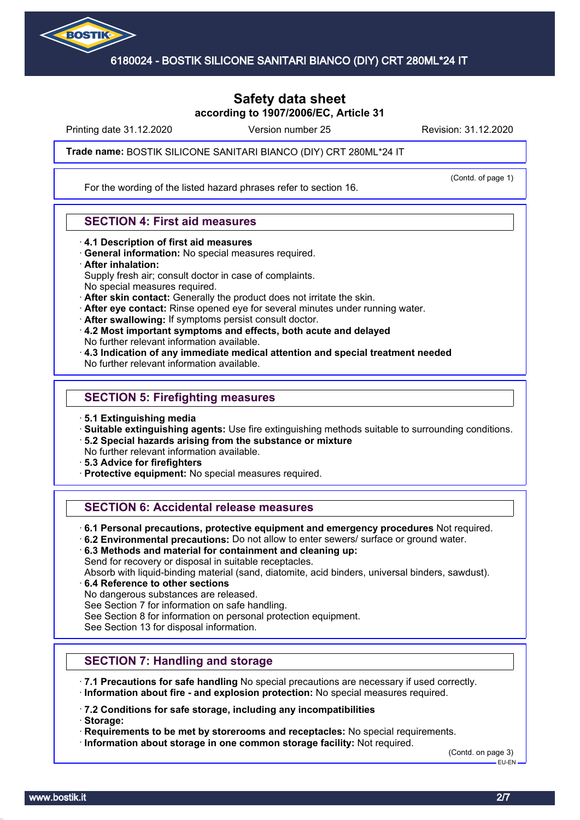

## **Safety data sheet according to 1907/2006/EC, Article 31**

Printing date 31.12.2020 **Revision: 31.12.2020** Version number 25 Revision: 31.12.2020

(Contd. of page 1)

Trade name: BOSTIK SILICONE SANITARI BIANCO (DIY) CRT 280ML\*24 IT

For the wording of the listed hazard phrases refer to section 16.

### **SECTION 4: First aid measures**

- · **4.1 Description of first aid measures**
- · **General information:** No special measures required.
- · **After inhalation:**

Supply fresh air; consult doctor in case of complaints.

- No special measures required.
- · **After skin contact:** Generally the product does not irritate the skin.
- · **After eye contact:** Rinse opened eye for several minutes under running water.
- · **After swallowing:** If symptoms persist consult doctor.
- · **4.2 Most important symptoms and effects, both acute and delayed** No further relevant information available.
- · **4.3 Indication of any immediate medical attention and special treatment needed** No further relevant information available.
- **SECTION 5: Firefighting measures**
- · **5.1 Extinguishing media**
- · **Suitable extinguishing agents:** Use fire extinguishing methods suitable to surrounding conditions.
- · **5.2 Special hazards arising from the substance or mixture**
- No further relevant information available.
- · **5.3 Advice for firefighters**
- · **Protective equipment:** No special measures required.

### **SECTION 6: Accidental release measures**

- · **6.1 Personal precautions, protective equipment and emergency procedures** Not required.
- · **6.2 Environmental precautions:** Do not allow to enter sewers/ surface or ground water.
- · **6.3 Methods and material for containment and cleaning up:**

Send for recovery or disposal in suitable receptacles.

Absorb with liquid-binding material (sand, diatomite, acid binders, universal binders, sawdust).

- · **6.4 Reference to other sections**
- No dangerous substances are released.

See Section 7 for information on safe handling.

See Section 8 for information on personal protection equipment.

See Section 13 for disposal information.

## **SECTION 7: Handling and storage**

- · **7.1 Precautions for safe handling** No special precautions are necessary if used correctly.
- · **Information about fire and explosion protection:** No special measures required.

· **7.2 Conditions for safe storage, including any incompatibilities**

· **Storage:**

· **Requirements to be met by storerooms and receptacles:** No special requirements.

· **Information about storage in one common storage facility:** Not required.

(Contd. on page 3) EU-EN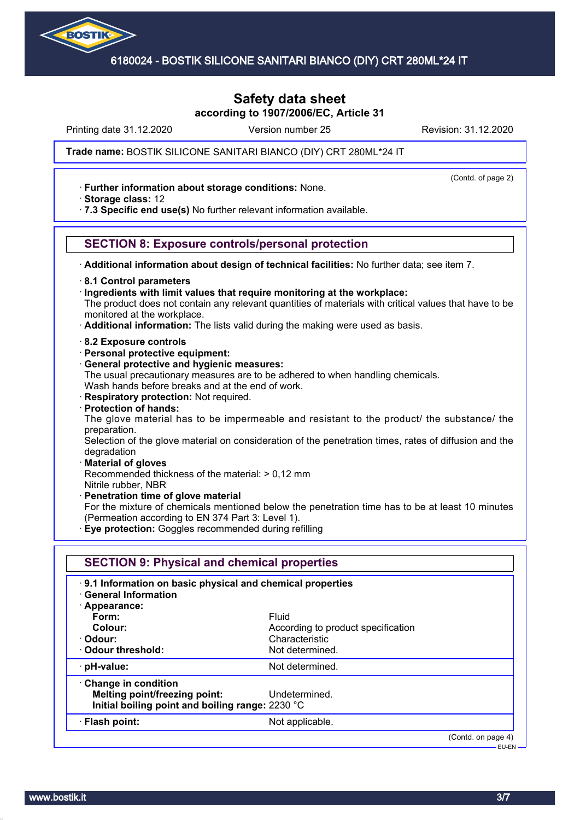

## **Safety data sheet according to 1907/2006/EC, Article 31**

Printing date 31.12.2020 **Revision: 31.12.2020** Version number 25 Revision: 31.12.2020

(Contd. of page 2)

#### Trade name: BOSTIK SILICONE SANITARI BIANCO (DIY) CRT 280ML\*24 IT

· **Further information about storage conditions:** None.

· **Storage class:** 12

· **7.3 Specific end use(s)** No further relevant information available.

### **SECTION 8: Exposure controls/personal protection**

· **Additional information about design of technical facilities:** No further data; see item 7.

- · **8.1 Control parameters**
- · **Ingredients with limit values that require monitoring at the workplace:**

The product does not contain any relevant quantities of materials with critical values that have to be monitored at the workplace.

- · **Additional information:** The lists valid during the making were used as basis.
- · **8.2 Exposure controls**
- · **Personal protective equipment:**
- · **General protective and hygienic measures:**

The usual precautionary measures are to be adhered to when handling chemicals. Wash hands before breaks and at the end of work.

- · **Respiratory protection:** Not required.
- · **Protection of hands:**

The glove material has to be impermeable and resistant to the product/ the substance/ the preparation.

Selection of the glove material on consideration of the penetration times, rates of diffusion and the degradation

#### · **Material of gloves**

Recommended thickness of the material: > 0,12 mm

- Nitrile rubber, NBR
- · **Penetration time of glove material**
- For the mixture of chemicals mentioned below the penetration time has to be at least 10 minutes (Permeation according to EN 374 Part 3: Level 1).
- · **Eye protection:** Goggles recommended during refilling

| 9.1 Information on basic physical and chemical properties<br><b>General Information</b> |                                    |  |
|-----------------------------------------------------------------------------------------|------------------------------------|--|
| · Appearance:                                                                           |                                    |  |
| Form:                                                                                   | Fluid                              |  |
| Colour:                                                                                 | According to product specification |  |
| · Odour:                                                                                | Characteristic                     |  |
| Odour threshold:                                                                        | Not determined.                    |  |
| · pH-value:                                                                             | Not determined.                    |  |
| Change in condition                                                                     |                                    |  |
| Melting point/freezing point:                                                           | Undetermined.                      |  |
| Initial boiling point and boiling range: 2230 °C                                        |                                    |  |
| · Flash point:                                                                          | Not applicable.                    |  |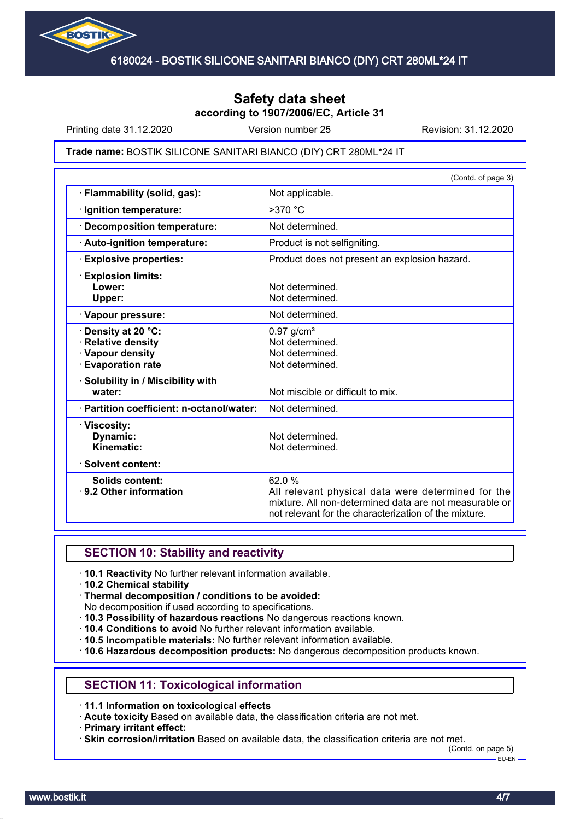

## **Safety data sheet according to 1907/2006/EC, Article 31**

Printing date 31.12.2020 **Revision: 31.12.2020** Version number 25 Revision: 31.12.2020

#### Trade name: BOSTIK SILICONE SANITARI BIANCO (DIY) CRT 280ML\*24 IT

|                                                                                               | (Contd. of page 3)                                                                                                                                                             |
|-----------------------------------------------------------------------------------------------|--------------------------------------------------------------------------------------------------------------------------------------------------------------------------------|
| Flammability (solid, gas):                                                                    | Not applicable.                                                                                                                                                                |
| · Ignition temperature:                                                                       | $>370$ °C                                                                                                                                                                      |
| <b>Decomposition temperature:</b>                                                             | Not determined.                                                                                                                                                                |
| · Auto-ignition temperature:                                                                  | Product is not selfigniting.                                                                                                                                                   |
| <b>Explosive properties:</b>                                                                  | Product does not present an explosion hazard.                                                                                                                                  |
| <b>Explosion limits:</b><br>Lower:<br>Upper:                                                  | Not determined.<br>Not determined.                                                                                                                                             |
| · Vapour pressure:                                                                            | Not determined.                                                                                                                                                                |
| · Density at 20 °C:<br><b>Relative density</b><br>· Vapour density<br><b>Evaporation rate</b> | $0.97$ g/cm <sup>3</sup><br>Not determined.<br>Not determined.<br>Not determined.                                                                                              |
| · Solubility in / Miscibility with<br>water:                                                  | Not miscible or difficult to mix.                                                                                                                                              |
| · Partition coefficient: n-octanol/water:                                                     | Not determined.                                                                                                                                                                |
| · Viscosity:<br><b>Dynamic:</b><br>Kinematic:                                                 | Not determined.<br>Not determined.                                                                                                                                             |
| · Solvent content:                                                                            |                                                                                                                                                                                |
| <b>Solids content:</b><br>⋅ 9.2 Other information                                             | 62.0%<br>All relevant physical data were determined for the<br>mixture. All non-determined data are not measurable or<br>not relevant for the characterization of the mixture. |

### **SECTION 10: Stability and reactivity**

- · **10.1 Reactivity** No further relevant information available.
- · **10.2 Chemical stability**
- · **Thermal decomposition / conditions to be avoided:**
- No decomposition if used according to specifications.
- · **10.3 Possibility of hazardous reactions** No dangerous reactions known.
- · **10.4 Conditions to avoid** No further relevant information available.
- · **10.5 Incompatible materials:** No further relevant information available.
- · **10.6 Hazardous decomposition products:** No dangerous decomposition products known.

## **SECTION 11: Toxicological information**

· **11.1 Information on toxicological effects**

· **Acute toxicity** Based on available data, the classification criteria are not met.

· **Primary irritant effect:**

· **Skin corrosion/irritation** Based on available data, the classification criteria are not met.

(Contd. on page 5) EU-EN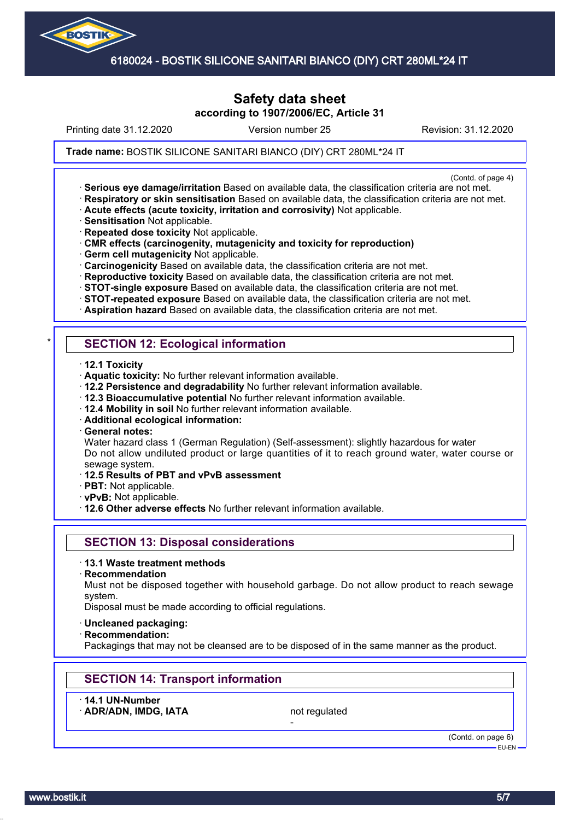

## **Safety data sheet according to 1907/2006/EC, Article 31**

Printing date 31.12.2020 **Revision: 31.12.2020** Version number 25 Revision: 31.12.2020

Trade name: BOSTIK SILICONE SANITARI BIANCO (DIY) CRT 280ML\*24 IT

(Contd. of page 4)

- · **Serious eye damage/irritation** Based on available data, the classification criteria are not met. · **Respiratory or skin sensitisation** Based on available data, the classification criteria are not met.
- · **Acute effects (acute toxicity, irritation and corrosivity)** Not applicable.
- · **Sensitisation** Not applicable.
- · **Repeated dose toxicity** Not applicable.
- · **CMR effects (carcinogenity, mutagenicity and toxicity for reproduction)**
- · **Germ cell mutagenicity** Not applicable.
- · **Carcinogenicity** Based on available data, the classification criteria are not met.
- · **Reproductive toxicity** Based on available data, the classification criteria are not met.
- · **STOT-single exposure** Based on available data, the classification criteria are not met.
- · **STOT-repeated exposure** Based on available data, the classification criteria are not met.
- · **Aspiration hazard** Based on available data, the classification criteria are not met.

## **SECTION 12: Ecological information**

- · **12.1 Toxicity**
- · **Aquatic toxicity:** No further relevant information available.
- · **12.2 Persistence and degradability** No further relevant information available.
- · **12.3 Bioaccumulative potential** No further relevant information available.
- · **12.4 Mobility in soil** No further relevant information available.
- · **Additional ecological information:**
- · **General notes:**

Water hazard class 1 (German Regulation) (Self-assessment): slightly hazardous for water Do not allow undiluted product or large quantities of it to reach ground water, water course or sewage system.

- · **12.5 Results of PBT and vPvB assessment**
- · **PBT:** Not applicable.
- · **vPvB:** Not applicable.
- · **12.6 Other adverse effects** No further relevant information available.

## **SECTION 13: Disposal considerations**

- · **13.1 Waste treatment methods**
- · **Recommendation**

Must not be disposed together with household garbage. Do not allow product to reach sewage system.

Disposal must be made according to official regulations.

- · **Uncleaned packaging:**
- · **Recommendation:**

Packagings that may not be cleansed are to be disposed of in the same manner as the product.

## **SECTION 14: Transport information**

· **14.1 UN-Number**

ADR/ADN, IMDG, IATA not regulated

-

(Contd. on page 6) EU-EN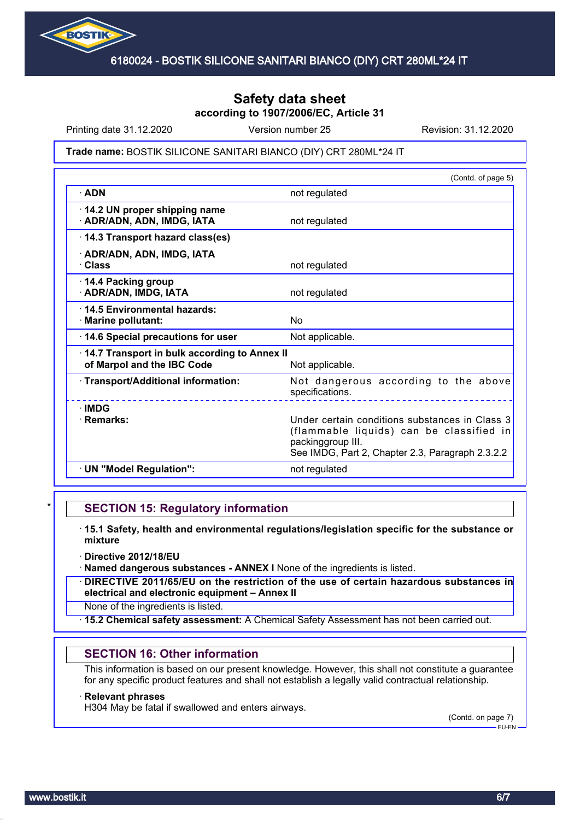

## **Safety data sheet according to 1907/2006/EC, Article 31**

Printing date 31.12.2020 **Revision: 31.12.2020** Version number 25 Revision: 31.12.2020

#### Trade name: BOSTIK SILICONE SANITARI BIANCO (DIY) CRT 280ML\*24 IT

|                                                                            | (Contd. of page 5)                                                                                                                                                  |
|----------------------------------------------------------------------------|---------------------------------------------------------------------------------------------------------------------------------------------------------------------|
| $\cdot$ ADN                                                                | not regulated                                                                                                                                                       |
| 14.2 UN proper shipping name<br>· ADR/ADN, ADN, IMDG, IATA                 | not regulated                                                                                                                                                       |
| 14.3 Transport hazard class(es)                                            |                                                                                                                                                                     |
| · ADR/ADN, ADN, IMDG, IATA<br>· Class                                      | not regulated                                                                                                                                                       |
| 14.4 Packing group<br>· ADR/ADN, IMDG, IATA                                | not regulated                                                                                                                                                       |
| 14.5 Environmental hazards:<br>· Marine pollutant:                         | No                                                                                                                                                                  |
| 14.6 Special precautions for user                                          | Not applicable.                                                                                                                                                     |
| 14.7 Transport in bulk according to Annex II<br>of Marpol and the IBC Code | Not applicable.                                                                                                                                                     |
| · Transport/Additional information:                                        | Not dangerous according to the above<br>specifications.                                                                                                             |
| $\cdot$ IMDG<br>· Remarks:                                                 | Under certain conditions substances in Class 3<br>(flammable liquids) can be classified in<br>packinggroup III.<br>See IMDG, Part 2, Chapter 2.3, Paragraph 2.3.2.2 |
| · UN "Model Regulation":                                                   | not regulated                                                                                                                                                       |

### **SECTION 15: Regulatory information**

- · **15.1 Safety, health and environmental regulations/legislation specific for the substance or mixture**
- · **Directive 2012/18/EU**
- · **Named dangerous substances ANNEX I** None of the ingredients is listed.
- · **DIRECTIVE 2011/65/EU on the restriction of the use of certain hazardous substances in electrical and electronic equipment – Annex II**
- None of the ingredients is listed.
- · **15.2 Chemical safety assessment:** A Chemical Safety Assessment has not been carried out.

#### **SECTION 16: Other information**

This information is based on our present knowledge. However, this shall not constitute a guarantee for any specific product features and shall not establish a legally valid contractual relationship.

#### · **Relevant phrases**

H304 May be fatal if swallowed and enters airways.

(Contd. on page 7) EU-EN